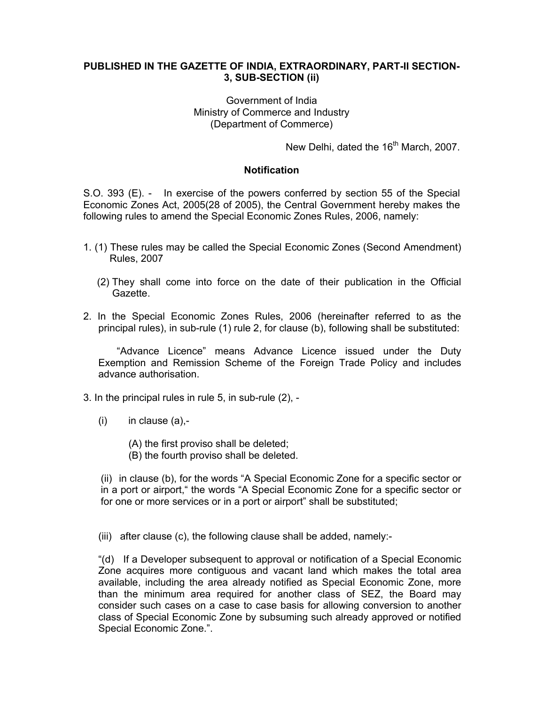## **PUBLISHED IN THE GAZETTE OF INDIA, EXTRAORDINARY, PART-II SECTION-3, SUB-SECTION (ii)**

## Government of India Ministry of Commerce and Industry (Department of Commerce)

New Delhi, dated the 16<sup>th</sup> March, 2007.

## **Notification**

S.O. 393 (E). - In exercise of the powers conferred by section 55 of the Special Economic Zones Act, 2005(28 of 2005), the Central Government hereby makes the following rules to amend the Special Economic Zones Rules, 2006, namely:

- 1. (1) These rules may be called the Special Economic Zones (Second Amendment) Rules, 2007
	- (2) They shall come into force on the date of their publication in the Official Gazette.
- 2. In the Special Economic Zones Rules, 2006 (hereinafter referred to as the principal rules), in sub-rule (1) rule 2, for clause (b), following shall be substituted:

 "Advance Licence" means Advance Licence issued under the Duty Exemption and Remission Scheme of the Foreign Trade Policy and includes advance authorisation.

- 3. In the principal rules in rule 5, in sub-rule (2),
	- $(i)$  in clause  $(a)$ ,-
		- (A) the first proviso shall be deleted;
		- (B) the fourth proviso shall be deleted.

(ii) in clause (b), for the words "A Special Economic Zone for a specific sector or in a port or airport," the words "A Special Economic Zone for a specific sector or for one or more services or in a port or airport" shall be substituted;

(iii) after clause (c), the following clause shall be added, namely:-

"(d) If a Developer subsequent to approval or notification of a Special Economic Zone acquires more contiguous and vacant land which makes the total area available, including the area already notified as Special Economic Zone, more than the minimum area required for another class of SEZ, the Board may consider such cases on a case to case basis for allowing conversion to another class of Special Economic Zone by subsuming such already approved or notified Special Economic Zone.".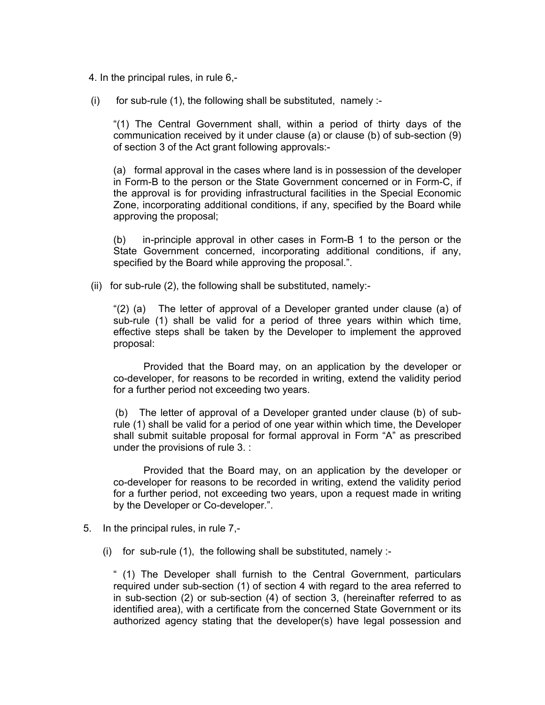4. In the principal rules, in rule 6,-

 $(i)$  for sub-rule (1), the following shall be substituted, namely :-

"(1) The Central Government shall, within a period of thirty days of the communication received by it under clause (a) or clause (b) of sub-section (9) of section 3 of the Act grant following approvals:-

(a) formal approval in the cases where land is in possession of the developer in Form-B to the person or the State Government concerned or in Form-C, if the approval is for providing infrastructural facilities in the Special Economic Zone, incorporating additional conditions, if any, specified by the Board while approving the proposal;

(b) in-principle approval in other cases in Form-B 1 to the person or the State Government concerned, incorporating additional conditions, if any, specified by the Board while approving the proposal.".

(ii) for sub-rule (2), the following shall be substituted, namely:-

" $(2)$  (a) The letter of approval of a Developer granted under clause (a) of sub-rule (1) shall be valid for a period of three years within which time, effective steps shall be taken by the Developer to implement the approved proposal:

Provided that the Board may, on an application by the developer or co-developer, for reasons to be recorded in writing, extend the validity period for a further period not exceeding two years.

(b) The letter of approval of a Developer granted under clause (b) of subrule (1) shall be valid for a period of one year within which time, the Developer shall submit suitable proposal for formal approval in Form "A" as prescribed under the provisions of rule 3. :

 Provided that the Board may, on an application by the developer or co-developer for reasons to be recorded in writing, extend the validity period for a further period, not exceeding two years, upon a request made in writing by the Developer or Co-developer.".

- 5. In the principal rules, in rule 7,-
	- (i) for sub-rule  $(1)$ , the following shall be substituted, namely :-

" (1) The Developer shall furnish to the Central Government, particulars required under sub-section (1) of section 4 with regard to the area referred to in sub-section (2) or sub-section (4) of section 3, (hereinafter referred to as identified area), with a certificate from the concerned State Government or its authorized agency stating that the developer(s) have legal possession and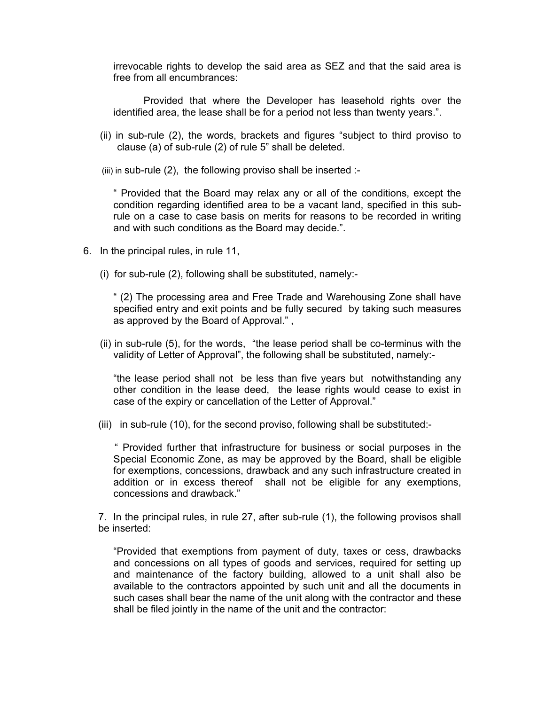irrevocable rights to develop the said area as SEZ and that the said area is free from all encumbrances:

Provided that where the Developer has leasehold rights over the identified area, the lease shall be for a period not less than twenty years.".

- (ii) in sub-rule (2), the words, brackets and figures "subject to third proviso to clause (a) of sub-rule (2) of rule 5" shall be deleted.
- (iii) in sub-rule (2), the following proviso shall be inserted :-

" Provided that the Board may relax any or all of the conditions, except the condition regarding identified area to be a vacant land, specified in this subrule on a case to case basis on merits for reasons to be recorded in writing and with such conditions as the Board may decide.".

- 6. In the principal rules, in rule 11,
	- (i) for sub-rule (2), following shall be substituted, namely:-

" (2) The processing area and Free Trade and Warehousing Zone shall have specified entry and exit points and be fully secured by taking such measures as approved by the Board of Approval." ,

 (ii) in sub-rule (5), for the words, "the lease period shall be co-terminus with the validity of Letter of Approval", the following shall be substituted, namely:-

"the lease period shall not be less than five years but notwithstanding any other condition in the lease deed, the lease rights would cease to exist in case of the expiry or cancellation of the Letter of Approval."

(iii) in sub-rule (10), for the second proviso, following shall be substituted:-

" Provided further that infrastructure for business or social purposes in the Special Economic Zone, as may be approved by the Board, shall be eligible for exemptions, concessions, drawback and any such infrastructure created in addition or in excess thereof shall not be eligible for any exemptions, concessions and drawback."

7. In the principal rules, in rule 27, after sub-rule (1), the following provisos shall be inserted:

"Provided that exemptions from payment of duty, taxes or cess, drawbacks and concessions on all types of goods and services, required for setting up and maintenance of the factory building, allowed to a unit shall also be available to the contractors appointed by such unit and all the documents in such cases shall bear the name of the unit along with the contractor and these shall be filed jointly in the name of the unit and the contractor: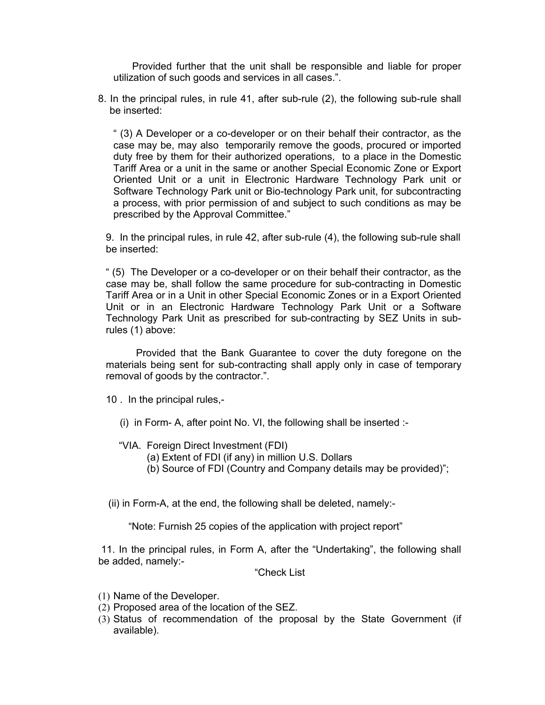Provided further that the unit shall be responsible and liable for proper utilization of such goods and services in all cases.".

 8. In the principal rules, in rule 41, after sub-rule (2), the following sub-rule shall be inserted:

" (3) A Developer or a co-developer or on their behalf their contractor, as the case may be, may also temporarily remove the goods, procured or imported duty free by them for their authorized operations, to a place in the Domestic Tariff Area or a unit in the same or another Special Economic Zone or Export Oriented Unit or a unit in Electronic Hardware Technology Park unit or Software Technology Park unit or Bio-technology Park unit, for subcontracting a process, with prior permission of and subject to such conditions as may be prescribed by the Approval Committee."

9. In the principal rules, in rule 42, after sub-rule (4), the following sub-rule shall be inserted:

" (5) The Developer or a co-developer or on their behalf their contractor, as the case may be, shall follow the same procedure for sub-contracting in Domestic Tariff Area or in a Unit in other Special Economic Zones or in a Export Oriented Unit or in an Electronic Hardware Technology Park Unit or a Software Technology Park Unit as prescribed for sub-contracting by SEZ Units in subrules (1) above:

Provided that the Bank Guarantee to cover the duty foregone on the materials being sent for sub-contracting shall apply only in case of temporary removal of goods by the contractor.".

10 . In the principal rules,-

- (i) in Form- A, after point No. VI, the following shall be inserted :-
- "VIA. Foreign Direct Investment (FDI)
	- (a) Extent of FDI (if any) in million U.S. Dollars
	- (b) Source of FDI (Country and Company details may be provided)";

(ii) in Form-A, at the end, the following shall be deleted, namely:-

"Note: Furnish 25 copies of the application with project report"

 11. In the principal rules, in Form A, after the "Undertaking", the following shall be added, namely:-

"Check List

- (1) Name of the Developer.
- (2) Proposed area of the location of the SEZ.
- (3) Status of recommendation of the proposal by the State Government (if available).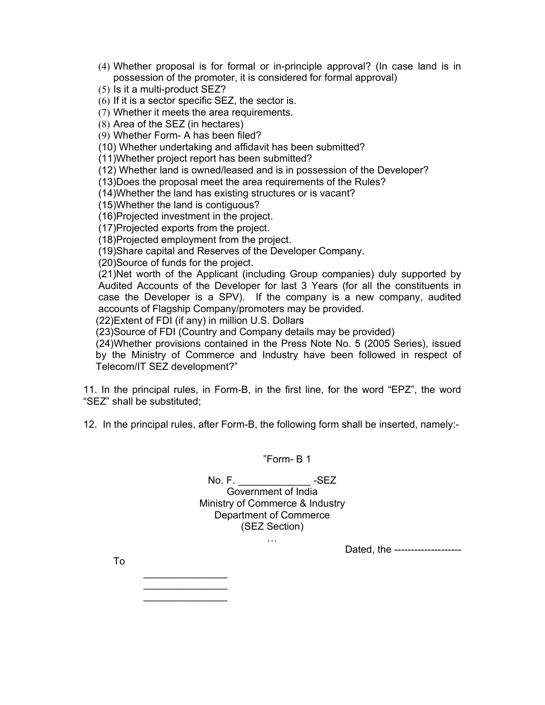- (4) Whether proposal is for formal or in-principle approval? (In case land is in possession of the promoter, it is considered for formal approval)
- (5) Is it a multi-product SEZ?

(6) If it is a sector specific SEZ, the sector is.

(7) Whether it meets the area requirements.

(8) Area of the SEZ (in hectares)

(9) Whether Form- A has been filed?

(10) Whether undertaking and affidavit has been submitted?

(11)Whether project report has been submitted?

(12) Whether land is owned/leased and is in possession of the Developer?

(13)Does the proposal meet the area requirements of the Rules?

(14)Whether the land has existing structures or is vacant?

(15)Whether the land is contiguous?

(16)Projected investment in the project.

(17)Projected exports from the project.

(18)Projected employment from the project.

(19)Share capital and Reserves of the Developer Company.

(20)Source of funds for the project.

(21)Net worth of the Applicant (including Group companies) duly supported by Audited Accounts of the Developer for last 3 Years (for all the constituents in case the Developer is a SPV). If the company is a new company, audited accounts of Flagship Company/promoters may be provided.

(22)Extent of FDI (if any) in million U.S. Dollars

(23)Source of FDI (Country and Company details may be provided)

(24)Whether provisions contained in the Press Note No. 5 (2005 Series), issued by the Ministry of Commerce and Industry have been followed in respect of Telecom/IT SEZ development?"

11. In the principal rules, in Form-B, in the first line, for the word "EPZ", the word "SEZ" shall be substituted;

12. In the principal rules, after Form-B, the following form shall be inserted, namely:-

"Form- B 1

No. F. \_\_\_\_\_\_\_\_\_\_\_\_\_ -SEZ Government of India Ministry of Commerce & Industry Department of Commerce (SEZ Section)

…

Dated, the --------------------

To

 $\overline{\phantom{a}}$  . The set of the set of the set of the set of the set of the set of the set of the set of the set of the set of the set of the set of the set of the set of the set of the set of the set of the set of the set o  $\overline{\phantom{a}}$  . The set of the set of the set of the set of the set of the set of the set of the set of the set of the set of the set of the set of the set of the set of the set of the set of the set of the set of the set o  $\overline{\phantom{a}}$  . The set of the set of the set of the set of the set of the set of the set of the set of the set of the set of the set of the set of the set of the set of the set of the set of the set of the set of the set o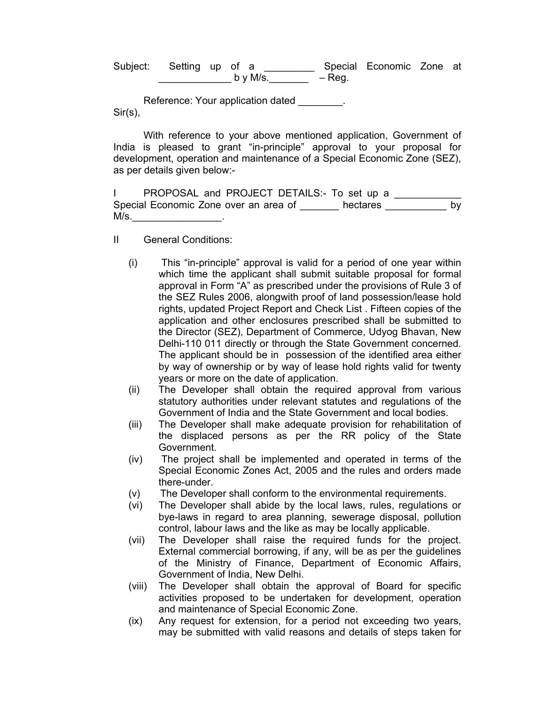Subject: Setting up of a \_\_\_\_\_\_\_\_\_\_ Special Economic Zone at  $\begin{array}{cccc} \texttt{by M/s} \end{array}$  – Reg.

Reference: Your application dated Sir(s),

With reference to your above mentioned application, Government of India is pleased to grant "in-principle" approval to your proposal for development, operation and maintenance of a Special Economic Zone (SEZ), as per details given below:-

|      |                                       | PROPOSAL and PROJECT DETAILS:- To set up a |  |
|------|---------------------------------------|--------------------------------------------|--|
|      | Special Economic Zone over an area of | hectares                                   |  |
| M/s. |                                       |                                            |  |

- II General Conditions:
	- (i) This "in-principle" approval is valid for a period of one year within which time the applicant shall submit suitable proposal for formal approval in Form "A" as prescribed under the provisions of Rule 3 of the SEZ Rules 2006, alongwith proof of land possession/lease hold rights, updated Project Report and Check List . Fifteen copies of the application and other enclosures prescribed shall be submitted to the Director (SEZ), Department of Commerce, Udyog Bhavan, New Delhi-110 011 directly or through the State Government concerned. The applicant should be in possession of the identified area either by way of ownership or by way of lease hold rights valid for twenty years or more on the date of application.
	- (ii) The Developer shall obtain the required approval from various statutory authorities under relevant statutes and regulations of the Government of India and the State Government and local bodies.
	- (iii) The Developer shall make adequate provision for rehabilitation of the displaced persons as per the RR policy of the State Government.
	- (iv) The project shall be implemented and operated in terms of the Special Economic Zones Act, 2005 and the rules and orders made there-under.
	- (v) The Developer shall conform to the environmental requirements.
	- (vi) The Developer shall abide by the local laws, rules, regulations or bye-laws in regard to area planning, sewerage disposal, pollution control, labour laws and the like as may be locally applicable.
	- (vii) The Developer shall raise the required funds for the project. External commercial borrowing, if any, will be as per the guidelines of the Ministry of Finance, Department of Economic Affairs, Government of India, New Delhi.
	- (viii) The Developer shall obtain the approval of Board for specific activities proposed to be undertaken for development, operation and maintenance of Special Economic Zone.
	- (ix) Any request for extension, for a period not exceeding two years, may be submitted with valid reasons and details of steps taken for